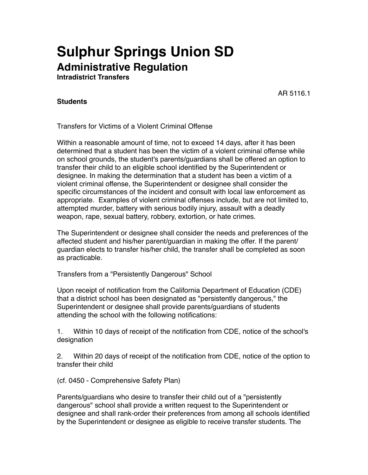# **Sulphur Springs Union SD Administrative Regulation**

**Intradistrict Transfers**

AR 5116.1

# **Students**

Transfers for Victims of a Violent Criminal Offense

Within a reasonable amount of time, not to exceed 14 days, after it has been determined that a student has been the victim of a violent criminal offense while on school grounds, the student's parents/guardians shall be offered an option to transfer their child to an eligible school identified by the Superintendent or designee. In making the determination that a student has been a victim of a violent criminal offense, the Superintendent or designee shall consider the specific circumstances of the incident and consult with local law enforcement as appropriate. Examples of violent criminal offenses include, but are not limited to, attempted murder, battery with serious bodily injury, assault with a deadly weapon, rape, sexual battery, robbery, extortion, or hate crimes.

The Superintendent or designee shall consider the needs and preferences of the affected student and his/her parent/guardian in making the offer. If the parent/ guardian elects to transfer his/her child, the transfer shall be completed as soon as practicable.

Transfers from a "Persistently Dangerous" School

Upon receipt of notification from the California Department of Education (CDE) that a district school has been designated as "persistently dangerous," the Superintendent or designee shall provide parents/guardians of students attending the school with the following notifications:

1. Within 10 days of receipt of the notification from CDE, notice of the school's designation

2. Within 20 days of receipt of the notification from CDE, notice of the option to transfer their child

(cf. 0450 - Comprehensive Safety Plan)

Parents/guardians who desire to transfer their child out of a "persistently dangerous" school shall provide a written request to the Superintendent or designee and shall rank-order their preferences from among all schools identified by the Superintendent or designee as eligible to receive transfer students. The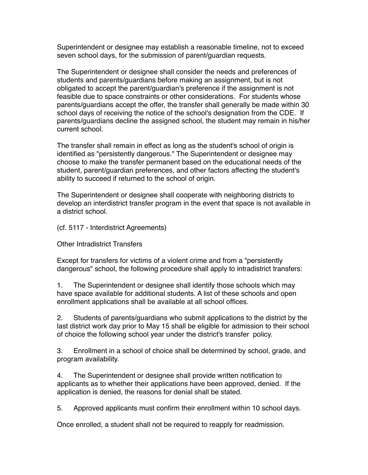Superintendent or designee may establish a reasonable timeline, not to exceed seven school days, for the submission of parent/guardian requests.

The Superintendent or designee shall consider the needs and preferences of students and parents/guardians before making an assignment, but is not obligated to accept the parent/guardian's preference if the assignment is not feasible due to space constraints or other considerations. For students whose parents/guardians accept the offer, the transfer shall generally be made within 30 school days of receiving the notice of the school's designation from the CDE. If parents/guardians decline the assigned school, the student may remain in his/her current school.

The transfer shall remain in effect as long as the student's school of origin is identified as "persistently dangerous." The Superintendent or designee may choose to make the transfer permanent based on the educational needs of the student, parent/guardian preferences, and other factors affecting the student's ability to succeed if returned to the school of origin.

The Superintendent or designee shall cooperate with neighboring districts to develop an interdistrict transfer program in the event that space is not available in a district school.

(cf. 5117 - Interdistrict Agreements)

Other Intradistrict Transfers

Except for transfers for victims of a violent crime and from a "persistently dangerous" school, the following procedure shall apply to intradistrict transfers:

1. The Superintendent or designee shall identify those schools which may have space available for additional students. A list of these schools and open enrollment applications shall be available at all school offices.

2. Students of parents/guardians who submit applications to the district by the last district work day prior to May 15 shall be eligible for admission to their school of choice the following school year under the district's transfer policy.

3. Enrollment in a school of choice shall be determined by school, grade, and program availability.

4. The Superintendent or designee shall provide written notification to applicants as to whether their applications have been approved, denied. If the application is denied, the reasons for denial shall be stated.

5. Approved applicants must confirm their enrollment within 10 school days.

Once enrolled, a student shall not be required to reapply for readmission.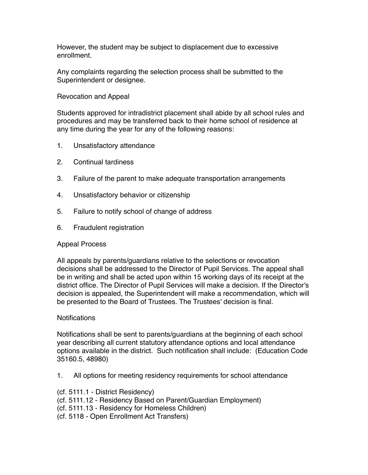However, the student may be subject to displacement due to excessive enrollment.

Any complaints regarding the selection process shall be submitted to the Superintendent or designee.

#### Revocation and Appeal

Students approved for intradistrict placement shall abide by all school rules and procedures and may be transferred back to their home school of residence at any time during the year for any of the following reasons:

- 1. Unsatisfactory attendance
- 2. Continual tardiness
- 3. Failure of the parent to make adequate transportation arrangements
- 4. Unsatisfactory behavior or citizenship
- 5. Failure to notify school of change of address
- 6. Fraudulent registration

## Appeal Process

All appeals by parents/guardians relative to the selections or revocation decisions shall be addressed to the Director of Pupil Services. The appeal shall be in writing and shall be acted upon within 15 working days of its receipt at the district office. The Director of Pupil Services will make a decision. If the Director's decision is appealed, the Superintendent will make a recommendation, which will be presented to the Board of Trustees. The Trustees' decision is final.

## **Notifications**

Notifications shall be sent to parents/guardians at the beginning of each school year describing all current statutory attendance options and local attendance options available in the district. Such notification shall include: (Education Code 35160.5, 48980)

- 1. All options for meeting residency requirements for school attendance
- (cf. 5111.1 District Residency)
- (cf. 5111.12 Residency Based on Parent/Guardian Employment)
- (cf. 5111.13 Residency for Homeless Children)
- (cf. 5118 Open Enrollment Act Transfers)